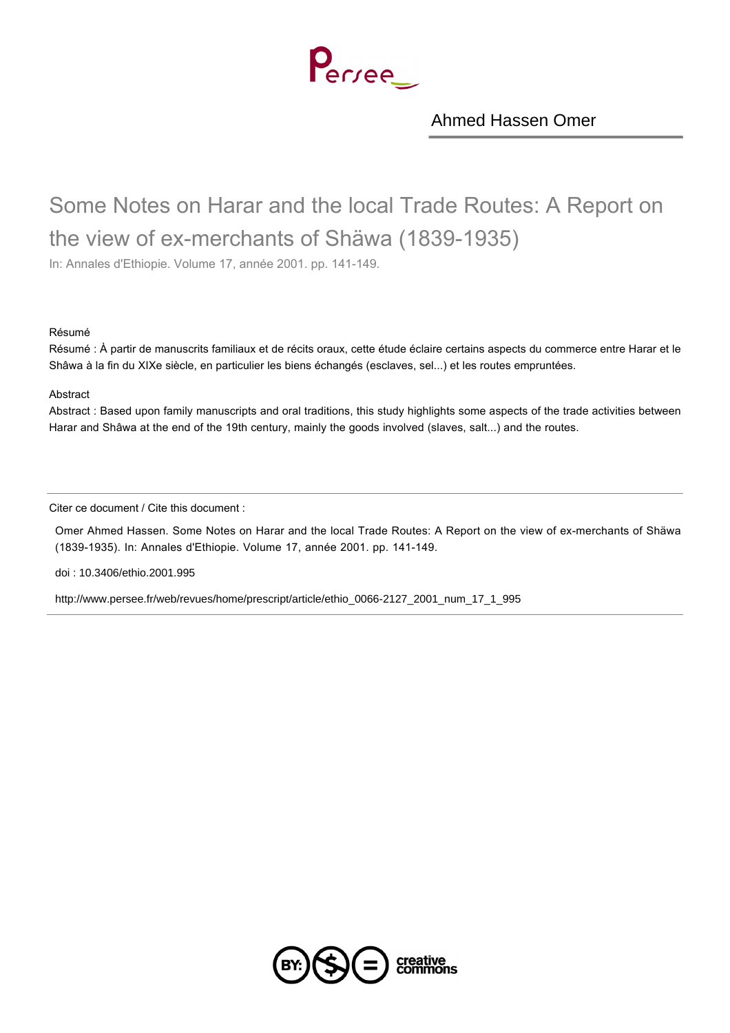Perree

[Ahmed Hassen Omer](http://www.persee.fr/web/revues/home/prescript/author/auteur_ethio_110)

# Some Notes on Harar and the local Trade Routes: A Report on the view of ex-merchants of Shäwa (1839-1935)

In: Annales d'Ethiopie. Volume 17, année 2001. pp. 141-149.

#### Résumé

Résumé : À partir de manuscrits familiaux et de récits oraux, cette étude éclaire certains aspects du commerce entre Harar et le Shâwa à la fin du XIXe siècle, en particulier les biens échangés (esclaves, sel...) et les routes empruntées.

#### Abstract

Abstract : Based upon family manuscripts and oral traditions, this study highlights some aspects of the trade activities between Harar and Shâwa at the end of the 19th century, mainly the goods involved (slaves, salt...) and the routes.

Citer ce document / Cite this document :

Omer Ahmed Hassen. Some Notes on Harar and the local Trade Routes: A Report on the view of ex-merchants of Shäwa (1839-1935). In: Annales d'Ethiopie. Volume 17, année 2001. pp. 141-149.

[doi : 10.3406/ethio.2001.995](http://dx.doi.org/10.3406/ethio.2001.995)

[http://www.persee.fr/web/revues/home/prescript/article/ethio\\_0066-2127\\_2001\\_num\\_17\\_1\\_995](http://www.persee.fr/web/revues/home/prescript/article/ethio_0066-2127_2001_num_17_1_995)

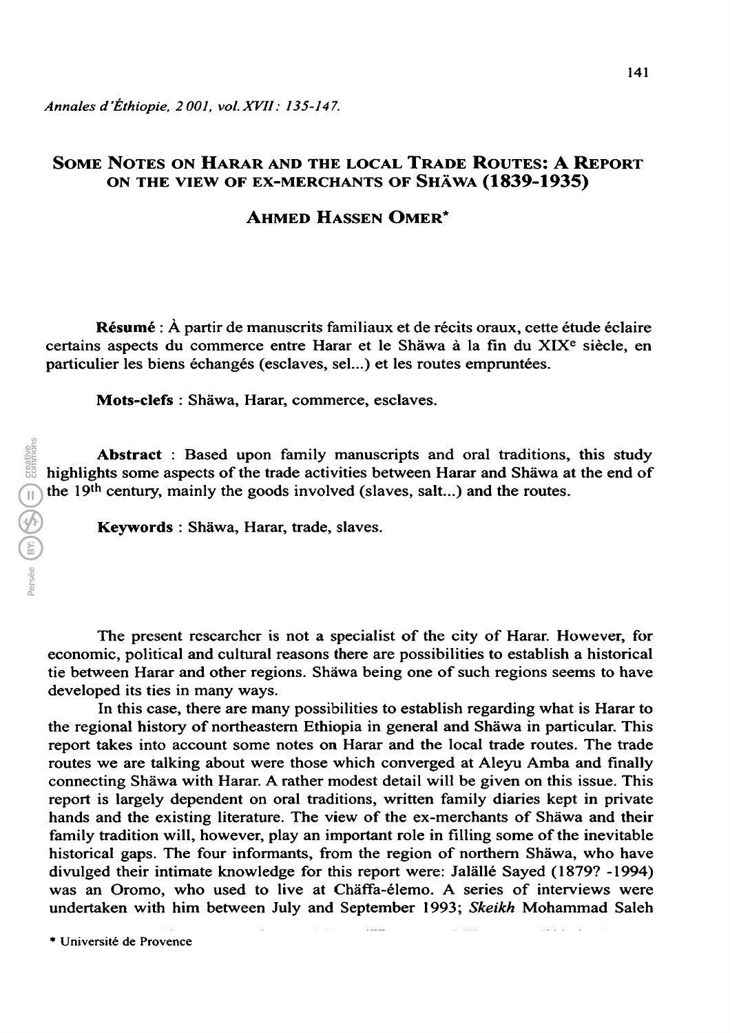## Some Notes on Harar and the local Trade Routes: A Report on the view of ex-merchants of shâwa (1839-1935)

## Ahmed Hassen Omer\*

Résumé : À partir de manuscrits familiaux et de récits oraux, cette étude éclaire certains aspects du commerce entre Harar et le Shâwa à la fin du XIXe siècle, en particulier les biens échangés (esclaves, sel...) et les routes empruntées.

Mots-clefs : Shàwa, Harar, commerce, esclaves.

Abstract : Based upon family manuscripts and oral traditions, this study highlights some aspects of the trade activities between Harar and Shâwa at the end of the 19th century, mainly the goods involved (slaves, salt...) and the routes.

Keywords : Shâwa, Harar, trade, slaves.

The present researcher is not a specialist of the city of Harar. However, for economic, political and cultural reasons there are possibilities to establish a historical tie between Harar and other regions. Shàwa being one of such regions seems to have developed its ties in many ways.

In this case, there are many possibilities to establish regarding what is Harar to the regional history of northeastern Ethiopia in general and Shâwa in particular. This report takes into account some notes on Harar and the local trade routes. The trade routes we are talking about were those which converged at Aleyu Amba and finally connecting Shâwa with Harar. A rather modest detail will be given on this issue. This report is largely dependent on oral traditions, written family diaries kept in private hands and the existing literature. The view of the ex-merchants of Shâwa and their family tradition will, however, play an important role in filling some of the inevitable historical gaps. The four informants, from the region of northern Shâwa, who have divulged their intimate knowledge for this report were: Jalâllé Sayed (1879? -1994) was an Oromo, who used to live at Chàffa-élemo. A series of interviews were undertaken with him between July and September 1993; Skeikh Mohammad Saleh

 $\sim$ 

 $\mathbb{Z}^2$  . The  $\mathbb{Z}^2$ 

\* Université de Provence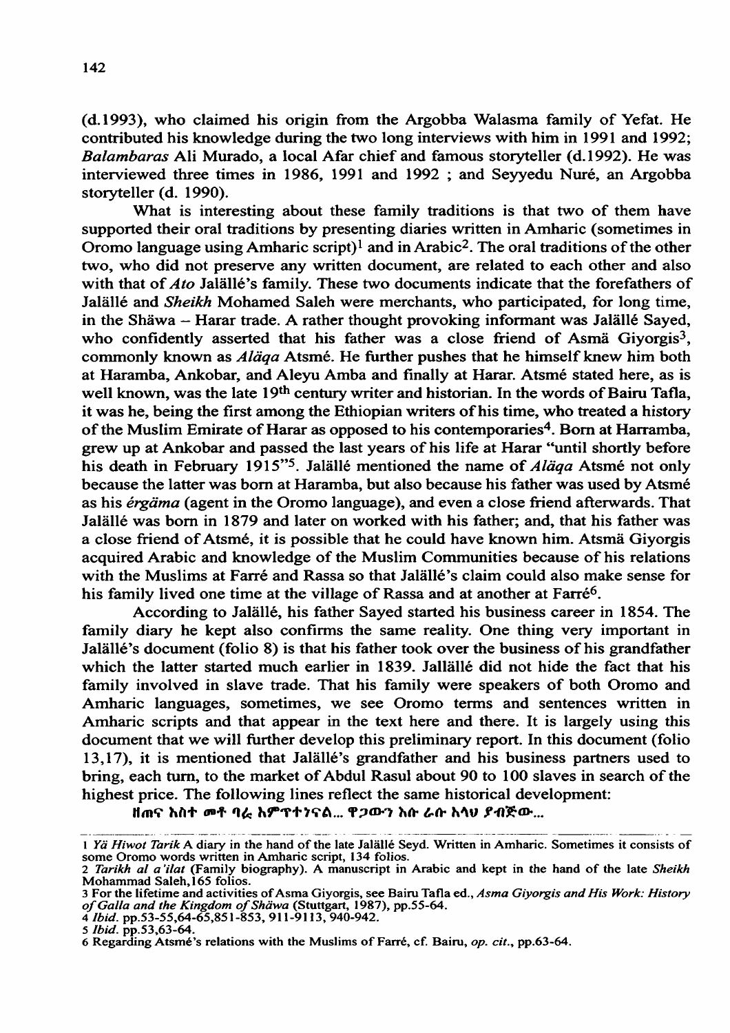(d.1993), who claimed his origin from the Argobba Walasma family of Yefat. He contributed his knowledge during the two long interviews with him in 1991 and 1992; Balambaras Ali Murado, a local Afar chief and famous storyteller (d.1992). He was interviewed three times in 1986, 1991 and 1992 ; and Seyyedu Nuré, an Argobba storyteller (d. 1990).

What is interesting about these family traditions is that two of them have supported their oral traditions by presenting diaries written in Amharic (sometimes in Oromo language using Amharic script)<sup>1</sup> and in Arabic<sup>2</sup>. The oral traditions of the other two, who did not preserve any written document, are related to each other and also with that of  $A$  to Jalällé's family. These two documents indicate that the forefathers of Jalâllé and Sheikh Mohamed Saleh were merchants, who participated, for long time, in the Shâwa - Harar trade. A rather thought provoking informant was Jalàllé Sayed, who confidently asserted that his father was a close friend of Asmä Giyorgis<sup>3</sup>, commonly known as Alâqa Atsmé. He further pushes that he himself knew him both at Haramba, Ankobar, and Aleyu Amba and finally at Harar. Atsmé stated here, as is well known, was the late 19<sup>th</sup> century writer and historian. In the words of Bairu Tafla, it was he, being the first among the Ethiopian writers of his time, who treated a history of the Muslim Emirate of Harar as opposed to his contemporaries<sup>4</sup>. Born at Harramba, grew up at Ankobar and passed the last years of his life at Harar "until shortly before his death in February 1915<sup>"5</sup>. Jalällé mentioned the name of *Aläga* Atsmé not only because the latter was born at Haramba, but also because his father was used by Atsmé as his érgàma (agent in the Oromo language), and even a close friend afterwards. That Jalâllé was born in 1879 and later on worked with his father; and, that his father was a close friend of Atsmé, it is possible that he could have known him. Atsmà Giyorgis acquired Arabic and knowledge of the Muslim Communities because of his relations with the Muslims at Farré and Rassa so that Jalâllé's claim could also make sense for his family lived one time at the village of Rassa and at another at Farré<sup>6</sup>.

According to Jalâllé, his father Sayed started his business career in 1 854. The family diary he kept also confirms the same reality. One thing very important in Jalâllé's document (folio 8) is that his father took over the business of his grandfather which the latter started much earlier in 1839. Jallâllé did not hide the fact that his family involved in slave trade. That his family were speakers of both Oromo and Amharic languages, sometimes, we see Oromo terms and sentences written in Amharic scripts and that appear in the text here and there. It is largely using this document that we will further develop this preliminary report. In this document (folio 13,17), it is mentioned that Jalâllé's grandfather and his business partners used to bring, each turn, to the market of Abdul Rasul about 90 to 100 slaves in search of the highest price. The following lines reflect the same historical development:

ዘጠና አስተ መቶ ባራ አምፕተንናል... ዋ*ጋ*ውን እሱ ራሱ አላህ ያብጅው...

<sup>1</sup> Yâ Hiwot Tarik A diary in the hand of the late Jalâllé Seyd. Written in Amharic. Sometimes it consists of some Oromo words written in Amharic script, 134 folios.

<sup>2</sup> Tarikh al a 'ilat (Family biography). A manuscript in Arabic and kept in the hand of the late Sheikh Mohammad Saleh, 165 folios.

<sup>3</sup> For the lifetime and activities of Asma Giyorgis, see Bairu Tafia éd., Asma Giyorgis and His Work: History of Galla and the Kingdom of Shäwa (Stuttgart, 1987), pp.55-64.

<sup>4</sup> Ibid, pp.53-55,64-65,85 1-853, 911-9113, 940-942.

<sup>5</sup> Ibid, pp.53,63-64.

<sup>6</sup> Regarding Atsmé's relations with the Muslims of Farré, cf. Bairu, op. cit., pp.63-64.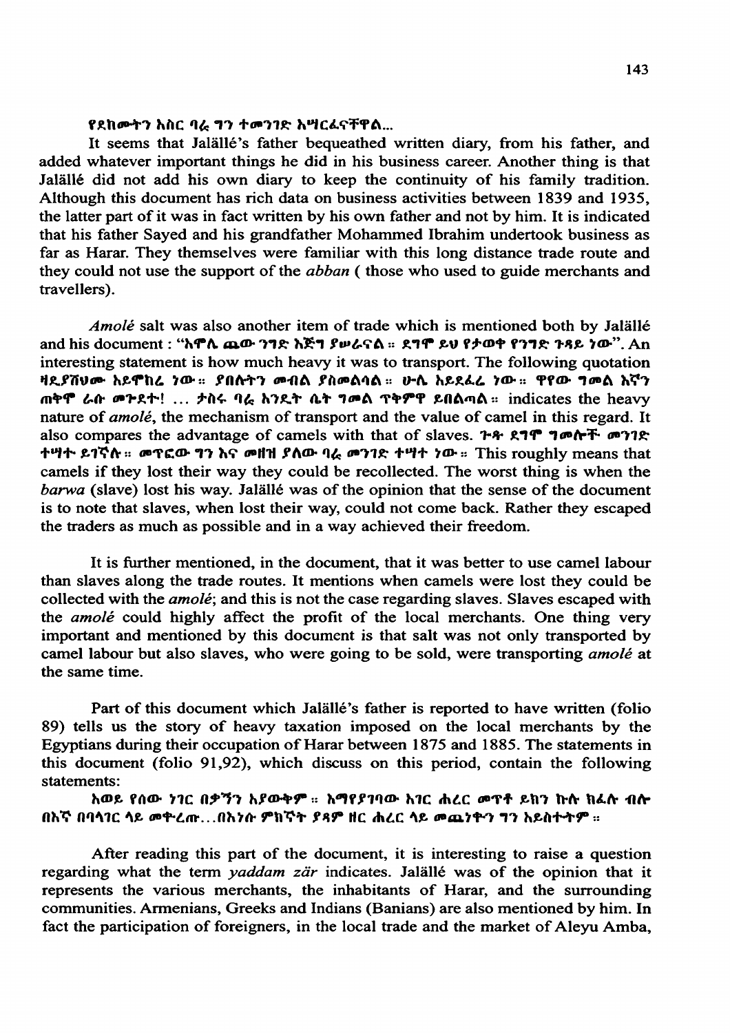### የደከሙትን አስር ባራ ግን ተመንገድ አሣርፊናቸዋል...

It seems that Jalâllé's father bequeathed written diary, from his father, and added whatever important things he did in his business career. Another thing is that Jalâllé did not add his own diary to keep the continuity of his family tradition. Although this document has rich data on business activities between 1839 and 1935, the latter part of it was in fact written by his own father and not by him. It is indicated that his father Sayed and his grandfather Mohammed Ibrahim undertook business as far as Harar. They themselves were familiar with this long distance trade route and they could not use the support of the abban ( those who used to guide merchants and travellers).

Amolé salt was also another item of trade which is mentioned both by Jalâllé and his document : " $\hbar$ ኖሊ ጨው ንግድ  $\hbar$ ጅግ ያሠራናል ። ደግሞ ይህ የታወቀ የንግድ ንዳይ ነው". An interesting statement is how much heavy it was to transport. The following quotation<br>ዛዴያሽህሙ አይሞከሬ ነው። ያበሱትን መብል ያስመልባል። ሁሉ አይደፌሬ ነው። ዋየው ግመል እኛን  $m$ ቅሞ ራሱ መጕደተ! ... ታስሩ ባራ አንዴት ቤት ግመል ጥቅምዋ ይበልጣል። indicates the heavy nature of *amolé*, the mechanism of transport and the value of camel in this regard. It also compares the advantage of camels with that of slaves.  $\mathbf{r} \cdot \mathbf{r} \cdot \mathbf{r} \cdot \mathbf{r} \cdot \mathbf{r} \cdot \mathbf{r} \cdot \mathbf{r} \cdot \mathbf{r} \cdot \mathbf{r} \cdot \mathbf{r} \cdot \mathbf{r} \cdot \mathbf{r} \cdot \mathbf{r} \cdot \mathbf{r} \cdot \mathbf{r} \cdot \mathbf{r} \cdot \mathbf{r} \cdot \mathbf{r} \cdot \mathbf{r} \cdot \mathbf{r} \cdot \$ ተሣተ ይገኛሉ። መፕፎው ግን እና መዘዝ ያለው ባራ መንገድ ተሣተ ነው። This roughly means that camels if they lost their way they could be recollected. The worst thing is when the barwa (slave) lost his way. Jalâllé was of the opinion that the sense of the document is to note that slaves, when lost their way, could not come back. Rather they escaped the traders as much as possible and in a way achieved their freedom.

It is further mentioned, in the document; that it was better to use camel labour than slaves along the trade routes. It mentions when camels were lost they could be collected with the *amolé*; and this is not the case regarding slaves. Slaves escaped with the *amolé* could highly affect the profit of the local merchants. One thing very important and mentioned by this document is that salt was not only transported by camel labour but also slaves, who were going to be sold, were transporting *amolé* at the same time.

Part of this document which Jalâllé's father is reported to have written (folio 89) tells us the story of heavy taxation imposed on the local merchants by the Egyptians during their occupation of Harar between 1875 and 1885. The statements in this document (folio 91,92), which discuss on this period, contain the following statements:

አወይ የሰው ነገር በቃኘን አያውቅም ፡፡ አማየያገባው አገር ሐረር መጥቶ ይክን ኩሱ ክፌሱ ብሎ በእኛ በባሳ1ር ላይ መትረ $\bm{r}$ ...በእንሱ ምክኛት ያጸም ዘር ሐረር ላይ መጨንቅን ግን አይስተትም ።

After reading this part of the document, it is interesting to raise a question regarding what the term *yaddam zär* indicates. Jalällé was of the opinion that it represents the various merchants, the inhabitants of Harar, and the surrounding communities. Armenians, Greeks and Indians (Banians) are also mentioned by him. In fact the participation of foreigners, in the local trade and the market of Aleyu Amba,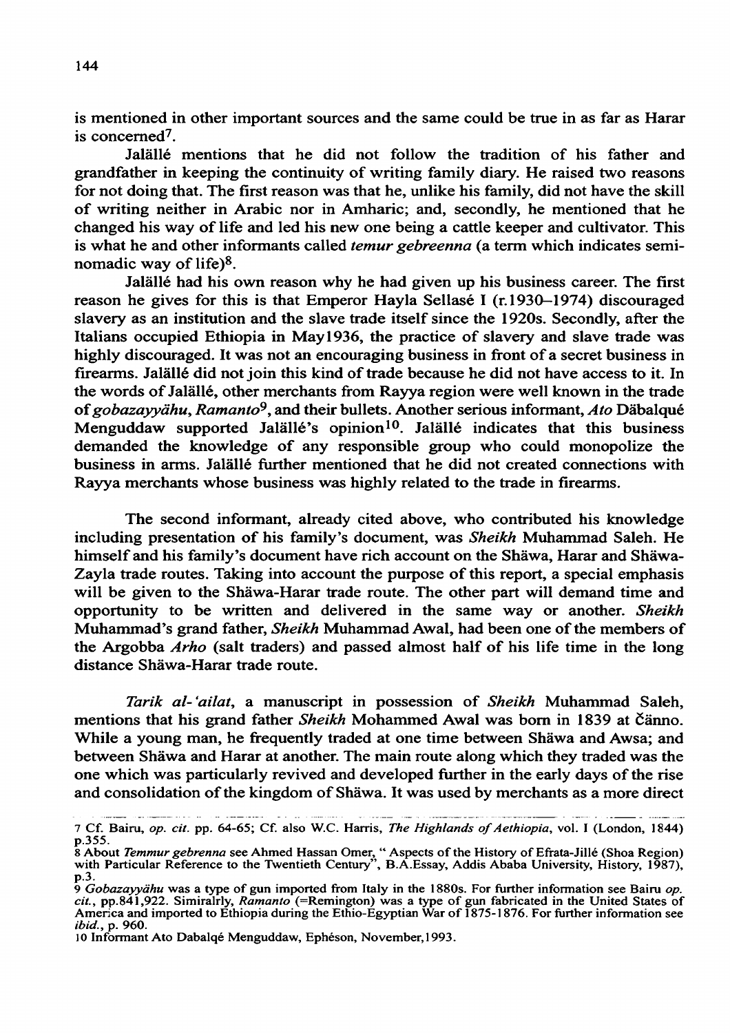is mentioned in other important sources and the same could be true in as far as Harar is concerned7.

Jalâllé mentions that he did not follow the tradition of his father and grandfather in keeping the continuity of writing family diary. He raised two reasons for not doing that. The first reason was that he, unlike his family, did not have the skill of writing neither in Arabic nor in Amharic; and, secondly, he mentioned that he changed his way of life and led his new one being a cattle keeper and cultivator. This is what he and other informants called *temur gebreenna* (a term which indicates seminomadic way of life)8.

Jalâllé had his own reason why he had given up his business career. The first reason he gives for this is that Emperor Hayla Sellasé I (r.1930–1974) discouraged slavery as an institution and the slave trade itself since the 1920s. Secondly, after the Italians occupied Ethiopia in May 1936, the practice of slavery and slave trade was highly discouraged. It was not an encouraging business in front of a secret business in firearms. Jalâllé did not join this kind of trade because he did not have access to it. In the words of Jalâllé, other merchants from Rayya region were well known in the trade of gobazayyähu, Ramanto<sup>9</sup>, and their bullets. Another serious informant, Ato Däbalqué Menguddaw supported Jalällé's opinion<sup>10</sup>. Jalällé indicates that this business demanded the knowledge of any responsible group who could monopolize the business in arms. Jalâllé further mentioned that he did not created connections with Rayya merchants whose business was highly related to the trade in firearms.

The second informant, already cited above, who contributed his knowledge including presentation of his family's document, was Sheikh Muhammad Saleh. He himself and his family's document have rich account on the Shâwa, Harar and Shâwa-Zayla trade routes. Taking into account the purpose of this report, a special emphasis will be given to the Shâwa-Harar trade route. The other part will demand time and opportunity to be written and delivered in the same way or another. Sheikh Muhammad's grand father, Sheikh Muhammad Awal, had been one of the members of the Argobba Arho (salt traders) and passed almost half of his life time in the long distance Shâwa-Harar trade route.

Tarik al-'ailat, a manuscript in possession of Sheikh Muhammad Saleh, mentions that his grand father Sheikh Mohammed Awal was born in 1839 at Čänno. While a young man, he frequently traded at one time between Shâwa and Awsa; and between Shâwa and Harar at another. The main route along which they traded was the one which was particularly revived and developed further in the early days of the rise and consolidation of the kingdom of Shâwa. It was used by merchants as a more direct

<sup>7</sup> Cf. Bairu, op. cit. pp. 64-65; Cf. also W.C. Harris, The Highlands of Aethiopia, vol. I (London, 1844) p.355.

<sup>8</sup> About *Temmur gebrenna* see Ahmed Hassan Omer, "Aspects of the History of Efrata-Jillé (Shoa Region) with Particular Reference to the Twentieth Century", B.A. Essay, Addis Ababa University, History, 1987), p.3.

<sup>9</sup> Gobazayyähu was a type of gun imported from Italy in the 1880s. For further information see Bairu op. cit., pp.841,922. Simiralrly, Ramanto (=Remington) was a type of gun fabricated in the United States of America and imported to Ethiopia during the Ethio-Egyptian War of 1875-1876. For further information see ibid., p. 960.

<sup>10</sup> Informant Ato Dabalqé Menguddaw, Ephéson, November, 1993.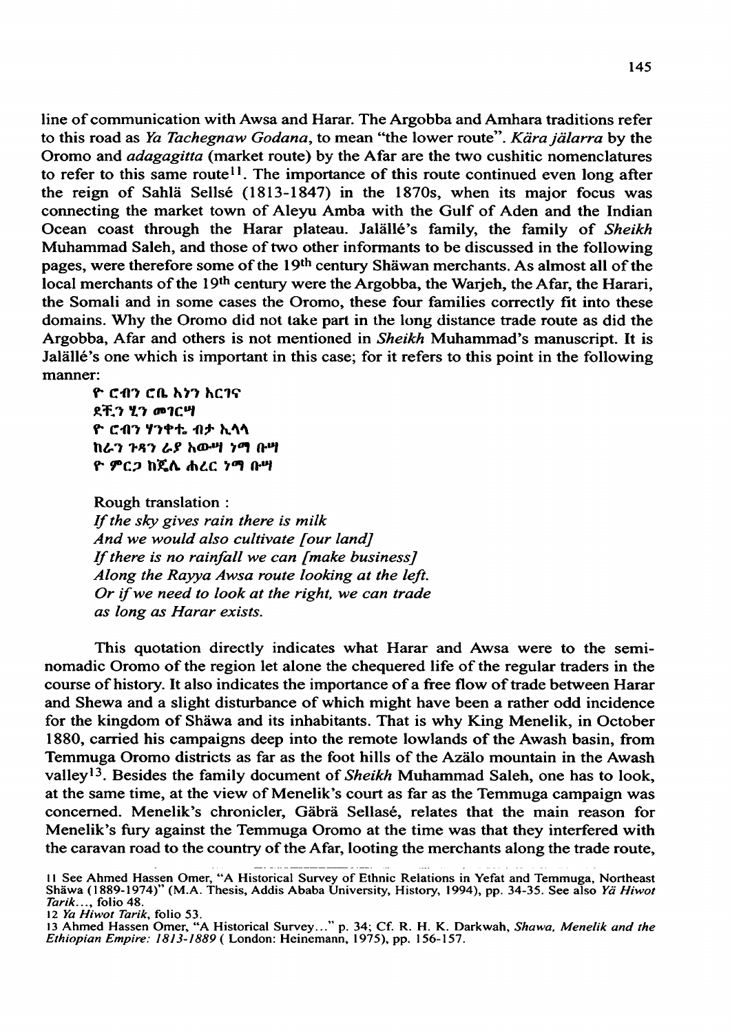line of communication with Awsa and Harar. The Argobba and Amhara traditions refer to this road as Ya Tachegnaw Godana, to mean "the lower route". Kära jälarra by the Oromo and adagagitta (market route) by the Afar are the two cushitic nomenclatures to refer to this same route<sup>11</sup>. The importance of this route continued even long after the reign of Sahlâ Sellsé (1813-1847) in the 1870s, when its major focus was connecting the market town of Aleyu Amba with the Gulf of Aden and the Indian Ocean coast through the Harar plateau. Jalällé's family, the family of Sheikh Muhammad Saleh, and those of two other informants to be discussed in the following pages, were therefore some of the 19th century Shàwan merchants. As almost all of the local merchants of the 19<sup>th</sup> century were the Argobba, the Warjeh, the Afar, the Harari, the Somali and in some cases the Oromo, these four families correctly fit into these domains. Why the Oromo did not take part in the long distance trade route as did the Argobba, Afar and others is not mentioned in Sheikh Muhammad's manuscript. It is Jalàllé's one which is important in this case; for it refers to this point in the following manner:

ዮ ሮብን ሮቤ እንን እርገና ደቺን ሂን መገርሣ ዮ ሮብን ሃንቀቲ ብታ ኢላላ ከራን ንጻን ራያ አውሣ ንማ ቡሣ ዮ ምርጋ ከጄሌ ሐረር ነማ ቡሣ

Rough translation : If the sky gives rain there is milk And we would also cultivate [our land] If there is no rainfall we can [make business] Along the Rayya Awsa route looking at the left. Or if we need to look at the right, we can trade as long as Harar exists.

This quotation directly indicates what Harar and Awsa were to the seminomadic Oromo of the region let alone the chequered life of the regular traders in the course of history. It also indicates the importance of a free flow of trade between Harar and Shewa and a slight disturbance of which might have been a rather odd incidence for the kingdom of Shâwa and its inhabitants. That is why King Menelik, in October 1880, carried his campaigns deep into the remote lowlands of the Awash basin, from Temmuga Oromo districts as far as the foot hills of the Azâlo mountain in the Awash valley<sup>13</sup>. Besides the family document of *Sheikh* Muhammad Saleh, one has to look, at the same time, at the view of Menelik's court as far as the Temmuga campaign was concerned. Menelik's chronicler, Gâbrâ Sellasé, relates that the main reason for Menelik's fury against the Temmuga Oromo at the time was that they interfered with the caravan road to the country of the Afar, looting the merchants along the trade route,

<sup>1 1</sup> See Ahmed Hassen Omer, "A Historical Survey of Ethnic Relations in Yefat and Temmuga, Northeast Shäwa (1889-1974)" (M.A. Thesis, Addis Ababa University, History, 1994), pp. 34-35. See also Yä Hiwot Tarik..., folio 48.

<sup>12</sup> Ya Hiwot Tarik, folio 53.

<sup>13</sup> Ahmed Hassen Omer, "A Historical Survey..." p. 34; Cf. R. H. K. Darkwah, Shawa, Menelik and the Ethiopian Empire: 1813-1889 ( London: Heinemann, 1975), pp. 156-157.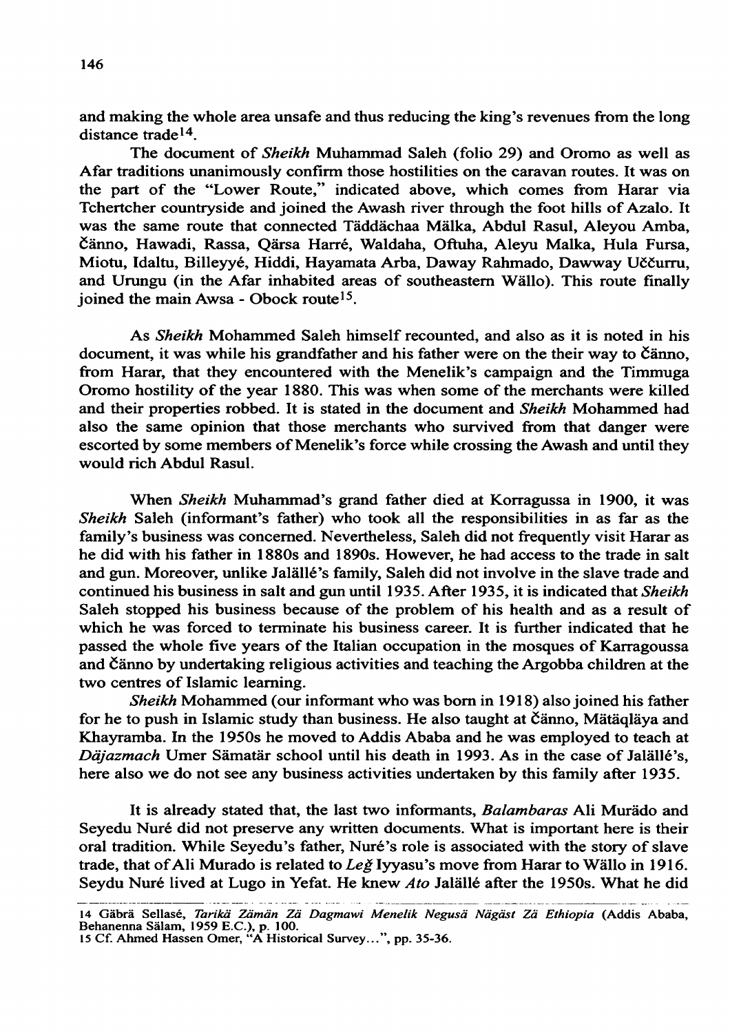and making the whole area unsafe and thus reducing the king's revenues from the long distance trade14.

The document of Sheikh Muhammad Saleh (folio 29) and Oromo as well as Afar traditions unanimously confirm those hostilities on the caravan routes. It was on the part of the "Lower Route," indicated above, which comes from Harar via Tchertcher countryside and joined the Awash river through the foot hills of Azalo. It was the same route that connected Tâddâchaa Màlka, Abdul Rasul, Aleyou Amba, Cânno, Hawadi, Rassa, Qârsa Harré, Waldaha, Oftuha, Aleyu Malka, Hula Fursa, Miotu, Idaltu, Billeyyé, Hiddi, Hayamata Arba, Daway Rahmado, Dawway Uôëurru, and Urungu (in the Afar inhabited areas of southeastern Wâllo). This route finally joined the main Awsa - Obock route<sup>15</sup>.

As Sheikh Mohammed Saleh himself recounted, and also as it is noted in his document, it was while his grandfather and his father were on the their way to Čänno, from Harar, that they encountered with the Menelik's campaign and the Timmuga Oromo hostility of the year 1880. This was when some of the merchants were killed and their properties robbed. It is stated in the document and Sheikh Mohammed had also the same opinion that those merchants who survived from that danger were escorted by some members of Menelik's force while crossing the Awash and until they would rich Abdul Rasul.

When Sheikh Muhammad's grand father died at Korragussa in 1900, it was Sheikh Saleh (informant's father) who took all the responsibilities in as far as the family's business was concerned. Nevertheless, Saleh did not frequently visit Harar as he did with his father in 1880s and 1890s. However, he had access to the trade in salt and gun. Moreover, unlike Jalâllé's family, Saleh did not involve in the slave trade and continued his business in salt and gun until 1935. After 1935, it is indicated that Sheikh Saleh stopped his business because of the problem of his health and as a result of which he was forced to terminate his business career. It is further indicated that he passed the whole five years of the Italian occupation in the mosques of Karragoussa and Cânno by undertaking religious activities and teaching the Argobba children at the two centres of Islamic learning.

Sheikh Mohammed (our informant who was born in 1918) also joined his father for he to push in Islamic study than business. He also taught at Cânno, Màtâqlâya and Khayramba. In the 1950s he moved to Addis Ababa and he was employed to teach at Däjazmach Umer Sämatär school until his death in 1993. As in the case of Jalällé's, here also we do not see any business activities undertaken by this family after 1935.

It is already stated that, the last two informants, Balambaras Ali Murâdo and Seyedu Nuré did not preserve any written documents. What is important here is their oral tradition. While Seyedu's father, Nuré's role is associated with the story of slave trade, that of Ali Murado is related to Leg Iyyasu's move from Harar to Wällo in 1916. Seydu Nuré lived at Lugo in Yefat. He knew Ato Jalällé after the 1950s. What he did

<sup>14</sup> Gäbrä Sellasé, Tarikä Zämän Zä Dagmawi Menelik Negusä Nägäst Zä Ethiopia (Addis Ababa, 14 Guord Bonaco, 1959 E.C.), p. 100.<br>
15 Cf. Ahmed Hassen Omer, "A Historical Survey...", pp. 35-36.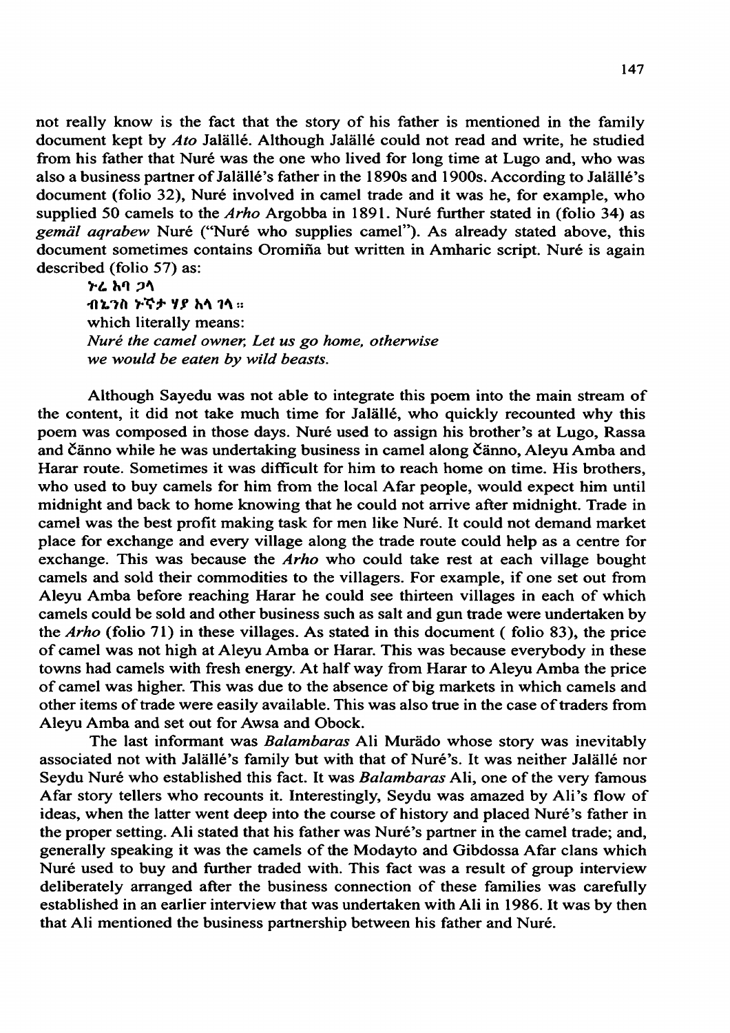not really know is the fact that the story of his father is mentioned in the family document kept by Ato Jalâllé. Although Jalâllé could not read and write, he studied from his father that Nuré was the one who lived for long time at Lugo and, who was also a business partner of Jalâllé's father in the 1890s and 1900s. According to Jalâllé's document (folio 32), Nuré involved in camel trade and it was he, for example, who supplied 50 camels to the *Arho* Argobba in 1891. Nuré further stated in (folio 34) as gemäl aqrabew Nuré ("Nuré who supplies camel"). As already stated above, this document sometimes contains Oromiña but written in Amharic script. Nuré is again described (folio 57) as:

>L M ?\ <sup>1</sup> ብኔንስ ≻ኛታ ሃያ አላ ገላ። which literally means: Nuré the camel owner, Let us go home, otherwise we would be eaten by wild beasts.

Although Sayedu was not able to integrate this poem into the main stream of the content, it did not take much time for Jalâllé, who quickly recounted why this poem was composed in those days. Nuré used to assign his brother's at Lugo, Rassa and Čänno while he was undertaking business in camel along Čänno, Aleyu Amba and Harar route. Sometimes it was difficult for him to reach home on time. His brothers, who used to buy camels for him from the local Afar people, would expect him until midnight and back to home knowing that he could not arrive after midnight. Trade in camel was the best profit making task for men like Nuré. It could not demand market place for exchange and every village along the trade route could help as a centre for exchange. This was because the Arho who could take rest at each village bought camels and sold their commodities to the villagers. For example, if one set out from Aleyu Amba before reaching Harar he could see thirteen villages in each of which camels could be sold and other business such as salt and gun trade were undertaken by the  $Arho$  (folio 71) in these villages. As stated in this document (folio 83), the price of camel was not high at Aleyu Amba or Harar. This was because everybody in these towns had camels with fresh energy. At half way from Harar to Aleyu Amba the price of camel was higher. This was due to the absence of big markets in which camels and other items of trade were easily available. This was also true in the case of traders from Aleyu Amba and set out for Awsa and Obock.

The last informant was Balambaras Ali Murâdo whose story was inevitably associated not with Jalâllé's family but with that of Nuré 's. It was neither Jalâllé nor Seydu Nuré who established this fact. It was Balambaras Ali, one of the very famous Afar story tellers who recounts it. Interestingly, Seydu was amazed by Ali's flow of ideas, when the latter went deep into the course of history and placed Nuré's father in the proper setting. Ali stated that his father was Nuré's partner in the camel trade; and, generally speaking it was the camels of the Modayto and Gibdossa Afar clans which Nuré used to buy and further traded with. This fact was a result of group interview deliberately arranged after the business connection of these families was carefully established in an earlier interview that was undertaken with Ali in 1986. It was by then that Ali mentioned the business partnership between his father and Nuré.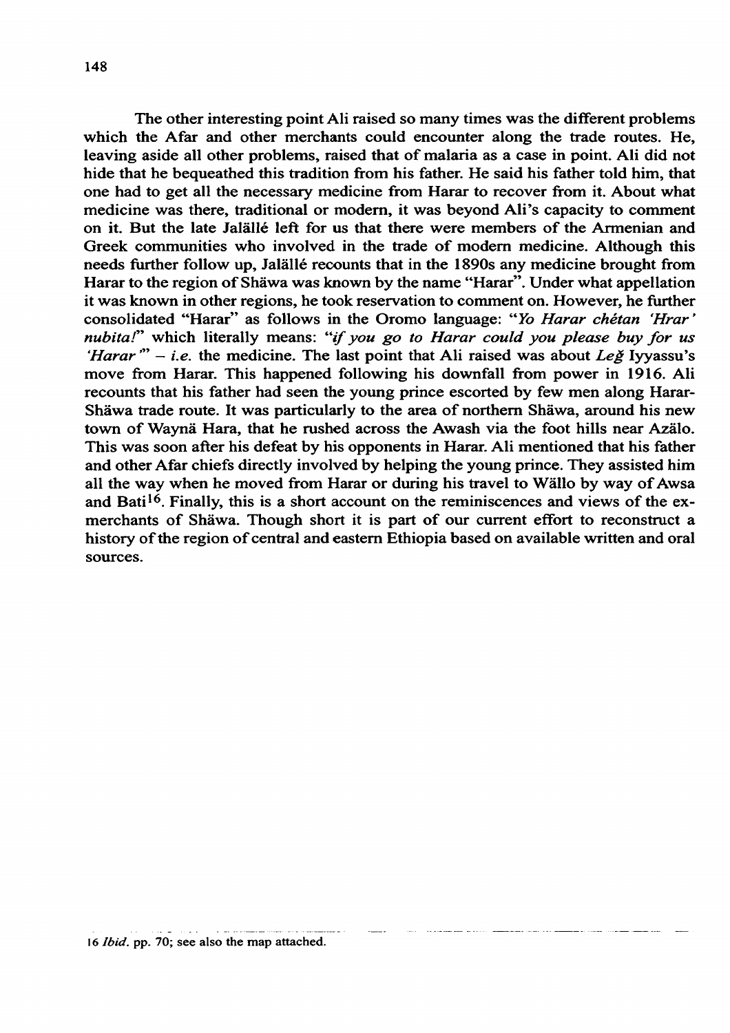The other interesting point Ali raised so many times was the different problems which the Afar and other merchants could encounter along the trade routes. He, leaving aside all other problems, raised that of malaria as a case in point. Ali did not hide that he bequeathed this tradition from his father. He said his father told him, that one had to get all the necessary medicine from Harar to recover from it. About what medicine was there, traditional or modern, it was beyond Ali's capacity to comment on it. But the late Jalâllé left for us that there were members of the Armenian and Greek communities who involved in the trade of modern medicine. Although this needs further follow up, Jalâllé recounts that in the 1890s any medicine brought from Harar to the region of Shâwa was known by the name "Harar". Under what appellation it was known in other regions, he took reservation to comment on. However, he further consolidated "Harar" as follows in the Oromo language: "Yo Harar chétan 'Hrar' nubita!" which literally means: "if you go to Harar could you please buy for us 'Harar''  $-$  i.e. the medicine. The last point that Ali raised was about Leg Iyyassu's move from Harar. This happened following his downfall from power in 1916. Ali recounts that his father had seen the young prince escorted by few men along Harar-Shâwa trade route. It was particularly to the area of northern Shâwa, around his new town of Waynâ Hara, that he rushed across the Awash via the foot hills near Azâlo. This was soon after his defeat by his opponents in Harar. Ali mentioned that his father and other Afar chiefs directly involved by helping the young prince. They assisted him all the way when he moved from Harar or during his travel to Wàllo by way of Awsa and Bati<sup>16</sup>. Finally, this is a short account on the reminiscences and views of the exmerchants of Shâwa. Though short it is part of our current effort to reconstruct a history of the region of central and eastern Ethiopia based on available written and oral sources.